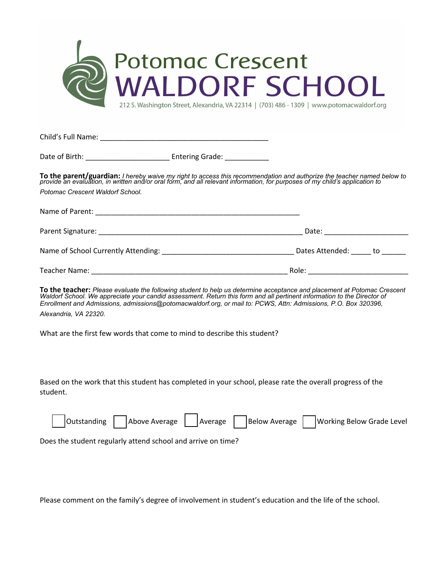

212 S. Washington Street, Alexandria, VA 22314 | (703) 486 - 1309 | www.potomacwaldorf.org

Child's Full Name: \_\_\_\_\_\_\_\_\_\_\_\_\_\_\_\_\_\_\_\_\_\_\_\_\_\_\_\_\_\_\_\_\_\_\_\_\_\_\_\_\_\_

Date of Birth: \_\_\_\_\_\_\_\_\_\_\_\_\_\_\_\_\_\_\_\_\_ Entering Grade: \_\_\_\_\_\_\_\_\_\_\_

**To the parent/guardian:** I hereby waive my right to access this recommendation and authorize the teacher named below to<br>provide an evaluation, in written and/or oral form, and all relevant information, for purposes of my *Potomac Crescent Waldorf School.* 

| Name of Parent:<br><u> 1989 - Jan James James James James James James James James James James James James James James James James J</u> |                    |
|-----------------------------------------------------------------------------------------------------------------------------------------|--------------------|
|                                                                                                                                         | Date:              |
| Name of School Currently Attending:                                                                                                     | Dates Attended: to |
| Teacher Name:                                                                                                                           | Role:              |

To the teacher: Please evaluate the following student to help us determine acceptance and placement at Potomac Crescent Waldorf School. We appreciate your candid assessment. Return this form and all pertinent information to the Director of *Enrollment and Admissions, admissions@potomacwaldorf.org, or mail to: PCWS, Attn: Admissions, P.O. Box 320396, Alexandria, VA 22320.*

What are the first few words that come to mind to describe this student?

Based on the work that this student has completed in your school, please rate the overall progress of the student.

|  |  | Outstanding Above Average Average Below Average Working Below Grade Level |
|--|--|---------------------------------------------------------------------------|
|  |  |                                                                           |

Does the student regularly attend school and arrive on time?

Please comment on the family's degree of involvement in student's education and the life of the school.